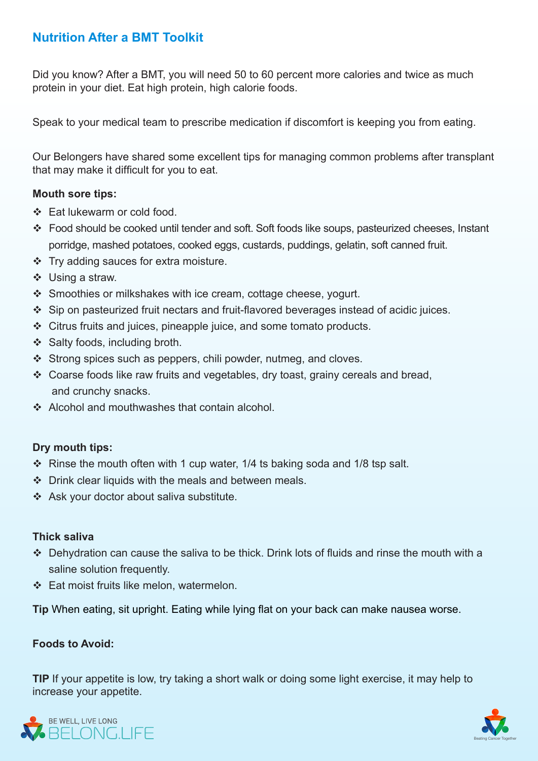# **Nutrition After a BMT Toolkit**

Did you know? After a BMT, you will need 50 to 60 percent more calories and twice as much protein in your diet. Eat high protein, high calorie foods.

Speak to your medical team to prescribe medication if discomfort is keeping you from eating.

Our Belongers have shared some excellent tips for managing common problems after transplant that may make it difficult for you to eat.

#### **Mouth sore tips:**

- ❖ Eat lukewarm or cold food.
- \* Food should be cooked until tender and soft. Soft foods like soups, pasteurized cheeses, Instant porridge, mashed potatoes, cooked eggs, custards, puddings, gelatin, soft canned fruit.
- $\cdot$  Try adding sauces for extra moisture.
- $\div$  Using a straw.
- $\div$  Smoothies or milkshakes with ice cream, cottage cheese, yogurt.
- $\cdot$  Sip on pasteurized fruit nectars and fruit-flavored beverages instead of acidic juices.
- $\div$  Citrus fruits and juices, pineapple juice, and some tomato products.
- $\div$  Salty foods, including broth.
- $\cdot$  Strong spices such as peppers, chili powder, nutmeg, and cloves.
- $\cdot$  Coarse foods like raw fruits and vegetables, dry toast, grainy cereals and bread, and crunchy snacks.
- $\div$  Alcohol and mouthwashes that contain alcohol.

## **Dry mouth tips:**

- $\cdot$  Rinse the mouth often with 1 cup water, 1/4 ts baking soda and 1/8 tsp salt.
- $\cdot$  Drink clear liquids with the meals and between meals.
- \* Ask your doctor about saliva substitute.

#### **saliva Thick**

- $\cdot$  Dehydration can cause the saliva to be thick. Drink lots of fluids and rinse the mouth with a saline solution frequently.
- $\div$  Eat moist fruits like melon, watermelon.

Tip When eating, sit upright. Eating while lying flat on your back can make nausea worse.

## **Foods to Avoid:**

TIP If your appetite is low, try taking a short walk or doing some light exercise, it may help to increase your appetite.



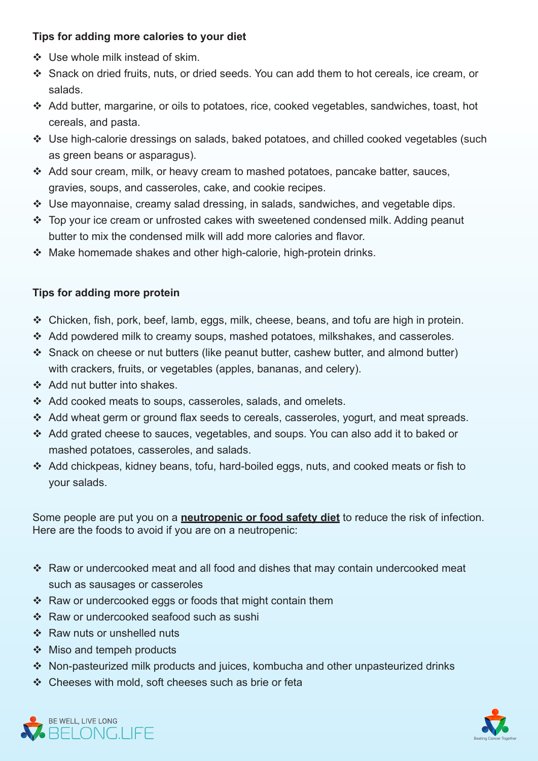## **Tips for adding more calories to your diet**

- $\div$  Use whole milk instead of skim.
- Snack on dried fruits, nuts, or dried seeds. You can add them to hot cereals, ice cream, or .salads
- Add butter, margarine, or oils to potatoes, rice, cooked vegetables, sandwiches, toast, hot cereals, and pasta.
- Use high-calorie dressings on salads, baked potatoes, and chilled cooked vegetables (such as green beans or asparagus).
- $\div$  Add sour cream, milk, or heavy cream to mashed potatoes, pancake batter, sauces, gravies, soups, and casseroles, cake, and cookie recipes.
- $\cdot$  Use mayonnaise, creamy salad dressing, in salads, sandwiches, and vegetable dips.
- $\cdot$  Top your ice cream or unfrosted cakes with sweetened condensed milk. Adding peanut butter to mix the condensed milk will add more calories and flavor.
- $\cdot$  Make homemade shakes and other high-calorie, high-protein drinks,

## **Tips for adding more protein**

- $\cdot$  Chicken, fish, pork, beef, lamb, eggs, milk, cheese, beans, and tofu are high in protein.
- $\cdot$  Add powdered milk to creamy soups, mashed potatoes, milk shakes, and casseroles.
- $\div$  Snack on cheese or nut butters (like peanut butter, cashew butter, and almond butter) with crackers, fruits, or vegetables (apples, bananas, and celery).
- ❖ Add nut butter into shakes.
- $\triangleleft$  Add cooked meats to soups, casseroles, salads, and omelets.
- $\cdot$  Add wheat germ or ground flax seeds to cereals, casseroles, yogurt, and meat spreads.
- Add grated cheese to sauces, vegetables, and soups. You can also add it to baked or mashed potatoes, casseroles, and salads.
- Add chickpeas, kidney beans, tofu, hard-boiled eggs, nuts, and cooked meats or fish to your salads.

Some people are put you on a **neutropenic or food safety diet** to reduce the risk of infection. Here are the foods to avoid if you are on a neutropenic:

- $\cdot$  Raw or undercooked meat and all food and dishes that may contain undercooked meat such as sausages or casseroles
- $\cdot$  Raw or undercooked eggs or foods that might contain them
- Raw or undercooked seafood such as sushit
- $\div$  Raw nuts or unshelled nuts
- $\div$  Miso and tempeh products
- $\cdot$  Non-pasteurized milk products and juices, kombucha and other unpasteurized drinks
- $\div$  Cheeses with mold, soft cheeses such as brie or feta